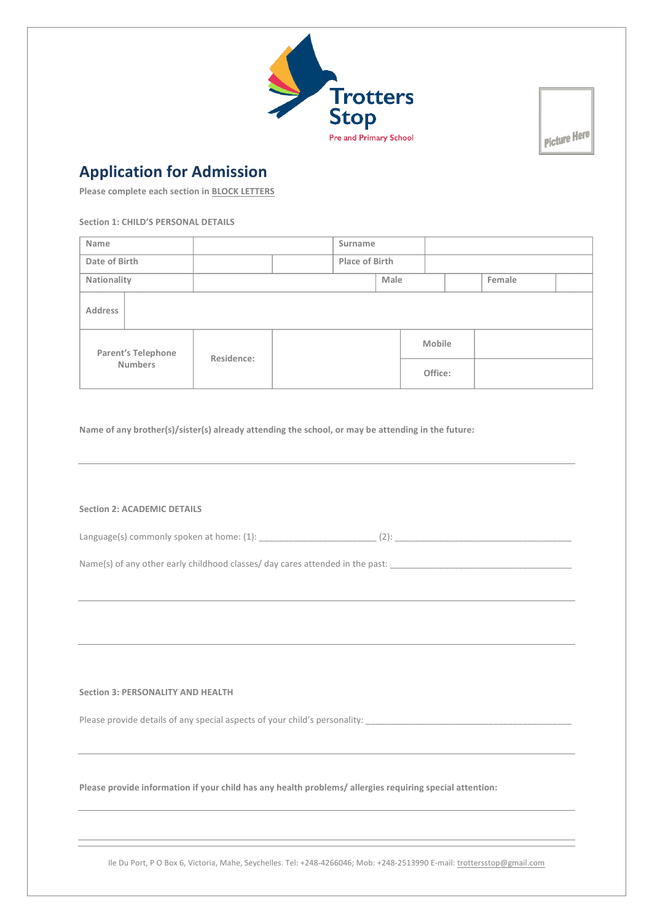

Picture Here

## **Application for Admission**

**Please complete each section in BLOCK LETTERS** 

**Section 1: CHILD'S PERSONAL DETAILS** 

| Name                                 |  |            |  | Surname        |      |         |        |  |
|--------------------------------------|--|------------|--|----------------|------|---------|--------|--|
| Date of Birth                        |  |            |  | Place of Birth |      |         |        |  |
| Nationality                          |  |            |  |                | Male |         | Female |  |
| Address                              |  |            |  |                |      |         |        |  |
| Parent's Telephone<br><b>Numbers</b> |  | Residence: |  |                |      | Mobile  |        |  |
|                                      |  |            |  |                |      | Office: |        |  |

the contract of the contract of the contract of the contract of the contract of the contract of the contract of

Name of any brother(s)/sister(s) already attending the school, or may be attending in the future:

**Section 2: ACADEMIC DETAILS** 

Language(s) commonly spoken at home: (1): \_\_\_\_\_\_\_\_\_\_\_\_\_\_\_\_\_\_\_\_\_\_\_\_ (2): \_\_\_\_\_\_\_\_\_\_\_\_\_\_\_\_\_\_\_\_\_\_\_\_\_\_\_\_\_\_\_\_\_\_\_\_

Name(s) of any other early childhood classes/ day cares attended in the past: \_\_\_\_\_\_\_\_\_\_\_\_\_\_\_\_\_\_\_\_\_\_\_\_\_\_\_\_\_\_\_\_

**Section 3: PERSONALITY AND HEALTH** 

Please provide details of any special aspects of your child's personality: \_\_\_\_\_\_\_\_\_\_\_\_\_\_\_\_\_\_\_\_\_\_\_\_\_\_\_\_\_\_\_\_\_\_\_

Please provide information if your child has any health problems/ allergies requiring special attention:

Ile Du Port, P O Box 6, Victoria, Mahe, Seychelles. Tel: +248-4266046; Mob: +248-2513990 E-mail: trottersstop@gmail.com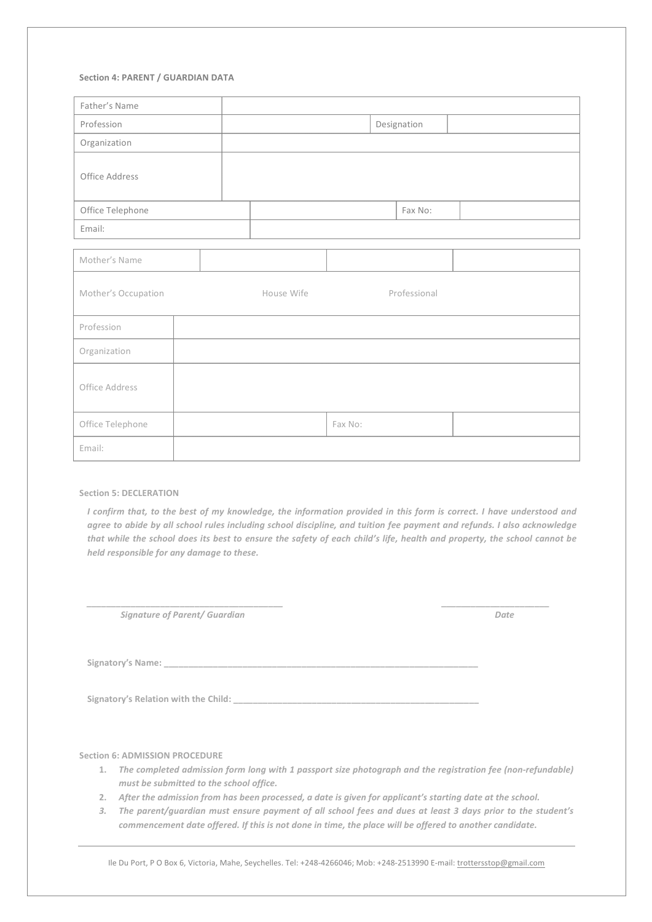## **Section 4: PARENT / GUARDIAN DATA**

| Father's Name       |  |            |         |              |  |  |  |
|---------------------|--|------------|---------|--------------|--|--|--|
| Profession          |  |            |         | Designation  |  |  |  |
| Organization        |  |            |         |              |  |  |  |
| Office Address      |  |            |         |              |  |  |  |
| Office Telephone    |  | Fax No:    |         |              |  |  |  |
| Email:              |  |            |         |              |  |  |  |
|                     |  |            |         |              |  |  |  |
| Mother's Name       |  |            |         |              |  |  |  |
| Mother's Occupation |  | House Wife |         | Professional |  |  |  |
| Profession          |  |            |         |              |  |  |  |
| Organization        |  |            |         |              |  |  |  |
| Office Address      |  |            |         |              |  |  |  |
| Office Telephone    |  |            | Fax No: |              |  |  |  |
| Email:              |  |            |         |              |  |  |  |

## **Section 5: DECLERATION**

*I* confirm that, to the best of my knowledge, the information provided in this form is correct. I have understood and *agree to abide by all school rules including school discipline, and tuition fee payment and refunds. I also acknowledge* that while the school does its best to ensure the safety of each child's life, health and property, the school cannot be *held responsible for any damage to these.* 

*\_\_\_\_\_\_\_\_\_\_\_\_\_\_\_\_\_\_\_\_\_\_\_\_\_\_\_\_\_\_\_\_\_\_\_\_\_\_\_\_ \_\_\_\_\_\_\_\_\_\_\_\_\_\_\_\_\_\_\_\_\_\_*

*Signature of Parent/ Guardian Base of Parent/ Guardian**Base of Parentian**Base of Parentian**Base of Parentian**Base of Parentian**Base of Parentian**Base of Parentian**Base of Parentian**Base of Parentian*

Signatory's Name:

**Signatory's Relation with the Child: \_\_\_\_\_\_\_\_\_\_\_\_\_\_\_\_\_\_\_\_\_\_\_\_\_\_\_\_\_\_\_\_\_\_\_\_\_\_\_\_\_\_\_\_\_\_\_\_\_\_**

**Section 6: ADMISSION PROCEDURE** 

- 1. The completed admission form long with 1 passport size photograph and the registration fee (non-refundable) *must be submitted to the school office.*
- 2. After the admission from has been processed, a date is given for applicant's starting date at the school.
- 3. The parent/quardian must ensure payment of all school fees and dues at least 3 days prior to the student's *commencement date offered.* If this is not done in time, the place will be offered to another candidate.

Ile Du Port, P O Box 6, Victoria, Mahe, Seychelles. Tel: +248-4266046; Mob: +248-2513990 E-mail: trottersstop@gmail.com